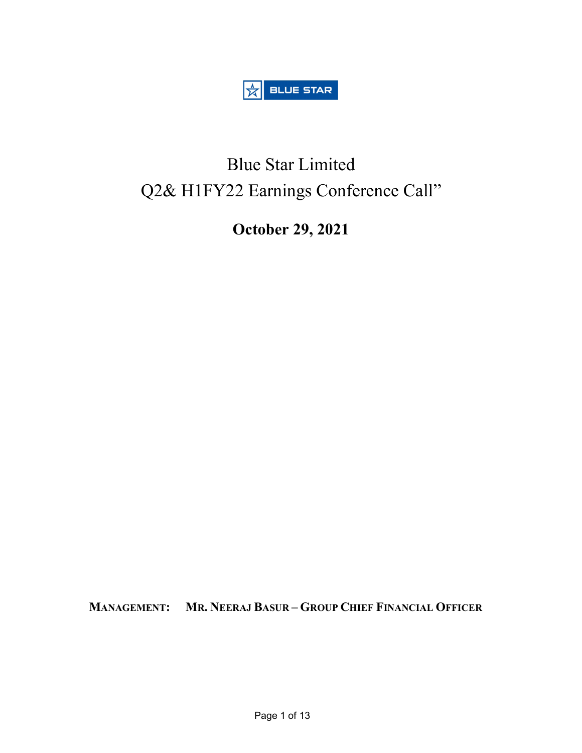

# Blue Star Limited Q2& H1FY22 Earnings Conference Call"

October 29, 2021

MANAGEMENT: MR. NEERAJ BASUR – GROUP CHIEF FINANCIAL OFFICER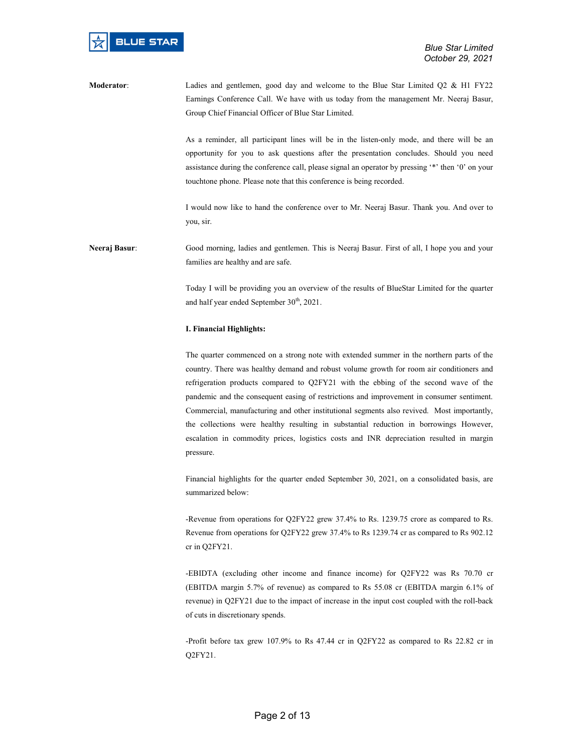Moderator: Ladies and gentlemen, good day and welcome to the Blue Star Limited Q2 & H1 FY22 Earnings Conference Call. We have with us today from the management Mr. Neeraj Basur, Group Chief Financial Officer of Blue Star Limited.

> As a reminder, all participant lines will be in the listen-only mode, and there will be an opportunity for you to ask questions after the presentation concludes. Should you need assistance during the conference call, please signal an operator by pressing '\*' then '0' on your touchtone phone. Please note that this conference is being recorded.

> I would now like to hand the conference over to Mr. Neeraj Basur. Thank you. And over to you, sir.

Neeraj Basur: Good morning, ladies and gentlemen. This is Neeraj Basur. First of all, I hope you and your families are healthy and are safe.

> Today I will be providing you an overview of the results of BlueStar Limited for the quarter and half year ended September 30<sup>th</sup>, 2021.

# I. Financial Highlights:

The quarter commenced on a strong note with extended summer in the northern parts of the country. There was healthy demand and robust volume growth for room air conditioners and refrigeration products compared to Q2FY21 with the ebbing of the second wave of the pandemic and the consequent easing of restrictions and improvement in consumer sentiment. Commercial, manufacturing and other institutional segments also revived. Most importantly, the collections were healthy resulting in substantial reduction in borrowings However, escalation in commodity prices, logistics costs and INR depreciation resulted in margin pressure.

Financial highlights for the quarter ended September 30, 2021, on a consolidated basis, are summarized below:

-Revenue from operations for Q2FY22 grew 37.4% to Rs. 1239.75 crore as compared to Rs. Revenue from operations for Q2FY22 grew 37.4% to Rs 1239.74 cr as compared to Rs 902.12 cr in Q2FY21.

-EBIDTA (excluding other income and finance income) for Q2FY22 was Rs 70.70 cr (EBITDA margin 5.7% of revenue) as compared to Rs 55.08 cr (EBITDA margin 6.1% of revenue) in Q2FY21 due to the impact of increase in the input cost coupled with the roll-back of cuts in discretionary spends.

-Profit before tax grew 107.9% to Rs 47.44 cr in Q2FY22 as compared to Rs 22.82 cr in Q2FY21.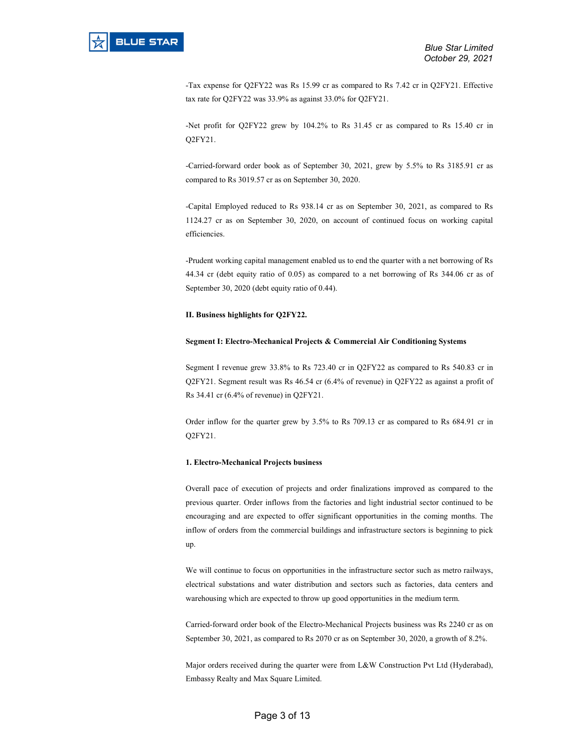-Tax expense for Q2FY22 was Rs 15.99 cr as compared to Rs 7.42 cr in Q2FY21. Effective tax rate for Q2FY22 was 33.9% as against 33.0% for Q2FY21.

-Net profit for Q2FY22 grew by 104.2% to Rs 31.45 cr as compared to Rs 15.40 cr in Q2FY21.

-Carried-forward order book as of September 30, 2021, grew by 5.5% to Rs 3185.91 cr as compared to Rs 3019.57 cr as on September 30, 2020.

-Capital Employed reduced to Rs 938.14 cr as on September 30, 2021, as compared to Rs 1124.27 cr as on September 30, 2020, on account of continued focus on working capital efficiencies.

-Prudent working capital management enabled us to end the quarter with a net borrowing of Rs 44.34 cr (debt equity ratio of 0.05) as compared to a net borrowing of Rs 344.06 cr as of September 30, 2020 (debt equity ratio of 0.44).

## II. Business highlights for Q2FY22.

## Segment I: Electro-Mechanical Projects & Commercial Air Conditioning Systems

Segment I revenue grew 33.8% to Rs 723.40 cr in Q2FY22 as compared to Rs 540.83 cr in Q2FY21. Segment result was Rs 46.54 cr (6.4% of revenue) in Q2FY22 as against a profit of Rs 34.41 cr (6.4% of revenue) in Q2FY21.

Order inflow for the quarter grew by 3.5% to Rs 709.13 cr as compared to Rs 684.91 cr in Q2FY21.

## 1. Electro-Mechanical Projects business

Overall pace of execution of projects and order finalizations improved as compared to the previous quarter. Order inflows from the factories and light industrial sector continued to be encouraging and are expected to offer significant opportunities in the coming months. The inflow of orders from the commercial buildings and infrastructure sectors is beginning to pick up.

We will continue to focus on opportunities in the infrastructure sector such as metro railways, electrical substations and water distribution and sectors such as factories, data centers and warehousing which are expected to throw up good opportunities in the medium term.

Carried-forward order book of the Electro-Mechanical Projects business was Rs 2240 cr as on September 30, 2021, as compared to Rs 2070 cr as on September 30, 2020, a growth of 8.2%.

Major orders received during the quarter were from L&W Construction Pvt Ltd (Hyderabad), Embassy Realty and Max Square Limited.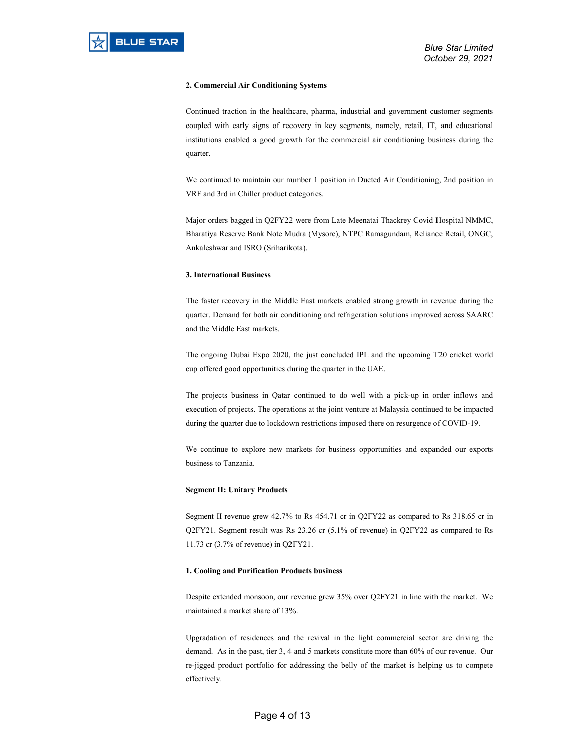## 2. Commercial Air Conditioning Systems

Continued traction in the healthcare, pharma, industrial and government customer segments coupled with early signs of recovery in key segments, namely, retail, IT, and educational institutions enabled a good growth for the commercial air conditioning business during the quarter.

We continued to maintain our number 1 position in Ducted Air Conditioning, 2nd position in VRF and 3rd in Chiller product categories.

Major orders bagged in Q2FY22 were from Late Meenatai Thackrey Covid Hospital NMMC, Bharatiya Reserve Bank Note Mudra (Mysore), NTPC Ramagundam, Reliance Retail, ONGC, Ankaleshwar and ISRO (Sriharikota).

# 3. International Business

The faster recovery in the Middle East markets enabled strong growth in revenue during the quarter. Demand for both air conditioning and refrigeration solutions improved across SAARC and the Middle East markets.

The ongoing Dubai Expo 2020, the just concluded IPL and the upcoming T20 cricket world cup offered good opportunities during the quarter in the UAE.

The projects business in Qatar continued to do well with a pick-up in order inflows and execution of projects. The operations at the joint venture at Malaysia continued to be impacted during the quarter due to lockdown restrictions imposed there on resurgence of COVID-19.

We continue to explore new markets for business opportunities and expanded our exports business to Tanzania.

#### Segment II: Unitary Products

Segment II revenue grew 42.7% to Rs 454.71 cr in Q2FY22 as compared to Rs 318.65 cr in Q2FY21. Segment result was Rs 23.26 cr (5.1% of revenue) in Q2FY22 as compared to Rs 11.73 cr (3.7% of revenue) in Q2FY21.

# 1. Cooling and Purification Products business

Despite extended monsoon, our revenue grew 35% over Q2FY21 in line with the market. We maintained a market share of 13%.

Upgradation of residences and the revival in the light commercial sector are driving the demand. As in the past, tier 3, 4 and 5 markets constitute more than 60% of our revenue. Our re-jigged product portfolio for addressing the belly of the market is helping us to compete effectively.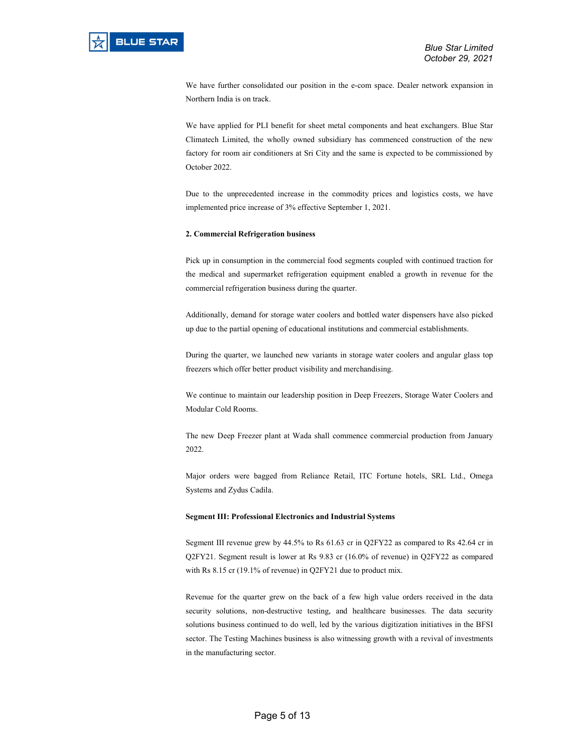We have further consolidated our position in the e-com space. Dealer network expansion in Northern India is on track.

We have applied for PLI benefit for sheet metal components and heat exchangers. Blue Star Climatech Limited, the wholly owned subsidiary has commenced construction of the new factory for room air conditioners at Sri City and the same is expected to be commissioned by October 2022.

Due to the unprecedented increase in the commodity prices and logistics costs, we have implemented price increase of 3% effective September 1, 2021.

# 2. Commercial Refrigeration business

Pick up in consumption in the commercial food segments coupled with continued traction for the medical and supermarket refrigeration equipment enabled a growth in revenue for the commercial refrigeration business during the quarter.

Additionally, demand for storage water coolers and bottled water dispensers have also picked up due to the partial opening of educational institutions and commercial establishments.

During the quarter, we launched new variants in storage water coolers and angular glass top freezers which offer better product visibility and merchandising.

We continue to maintain our leadership position in Deep Freezers, Storage Water Coolers and Modular Cold Rooms.

The new Deep Freezer plant at Wada shall commence commercial production from January 2022.

Major orders were bagged from Reliance Retail, ITC Fortune hotels, SRL Ltd., Omega Systems and Zydus Cadila.

#### Segment III: Professional Electronics and Industrial Systems

Segment III revenue grew by 44.5% to Rs 61.63 cr in Q2FY22 as compared to Rs 42.64 cr in Q2FY21. Segment result is lower at Rs 9.83 cr (16.0% of revenue) in Q2FY22 as compared with Rs 8.15 cr (19.1% of revenue) in Q2FY21 due to product mix.

Revenue for the quarter grew on the back of a few high value orders received in the data security solutions, non-destructive testing, and healthcare businesses. The data security solutions business continued to do well, led by the various digitization initiatives in the BFSI sector. The Testing Machines business is also witnessing growth with a revival of investments in the manufacturing sector.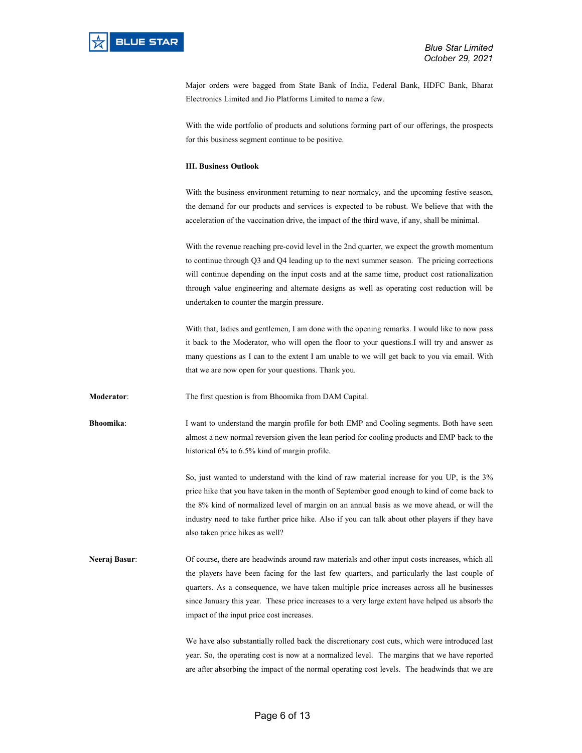Major orders were bagged from State Bank of India, Federal Bank, HDFC Bank, Bharat Electronics Limited and Jio Platforms Limited to name a few.

With the wide portfolio of products and solutions forming part of our offerings, the prospects for this business segment continue to be positive.

## III. Business Outlook

With the business environment returning to near normalcy, and the upcoming festive season, the demand for our products and services is expected to be robust. We believe that with the acceleration of the vaccination drive, the impact of the third wave, if any, shall be minimal.

With the revenue reaching pre-covid level in the 2nd quarter, we expect the growth momentum to continue through Q3 and Q4 leading up to the next summer season. The pricing corrections will continue depending on the input costs and at the same time, product cost rationalization through value engineering and alternate designs as well as operating cost reduction will be undertaken to counter the margin pressure.

With that, ladies and gentlemen, I am done with the opening remarks. I would like to now pass it back to the Moderator, who will open the floor to your questions.I will try and answer as many questions as I can to the extent I am unable to we will get back to you via email. With that we are now open for your questions. Thank you.

Moderator: The first question is from Bhoomika from DAM Capital.

Bhoomika: I want to understand the margin profile for both EMP and Cooling segments. Both have seen almost a new normal reversion given the lean period for cooling products and EMP back to the historical 6% to 6.5% kind of margin profile.

> So, just wanted to understand with the kind of raw material increase for you UP, is the 3% price hike that you have taken in the month of September good enough to kind of come back to the 8% kind of normalized level of margin on an annual basis as we move ahead, or will the industry need to take further price hike. Also if you can talk about other players if they have also taken price hikes as well?

Neeraj Basur: Of course, there are headwinds around raw materials and other input costs increases, which all the players have been facing for the last few quarters, and particularly the last couple of quarters. As a consequence, we have taken multiple price increases across all he businesses since January this year. These price increases to a very large extent have helped us absorb the impact of the input price cost increases.

> We have also substantially rolled back the discretionary cost cuts, which were introduced last year. So, the operating cost is now at a normalized level. The margins that we have reported are after absorbing the impact of the normal operating cost levels. The headwinds that we are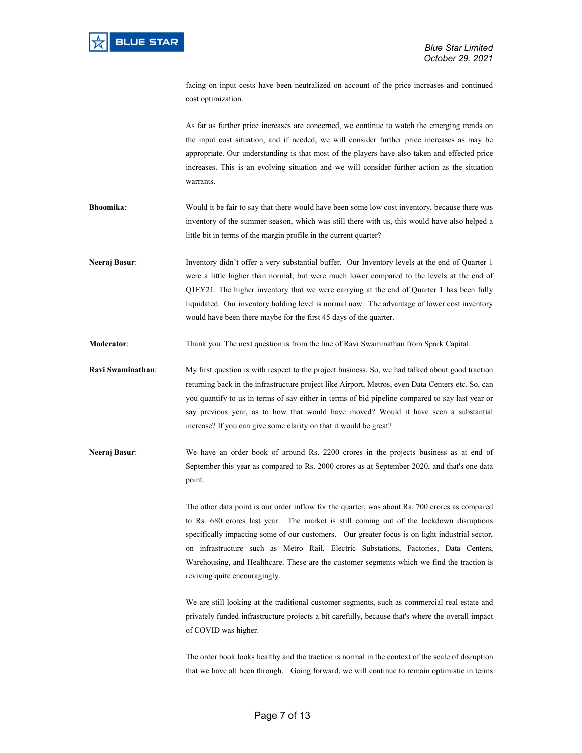facing on input costs have been neutralized on account of the price increases and continued cost optimization.

As far as further price increases are concerned, we continue to watch the emerging trends on the input cost situation, and if needed, we will consider further price increases as may be appropriate. Our understanding is that most of the players have also taken and effected price increases. This is an evolving situation and we will consider further action as the situation warrants.

- Bhoomika: Would it be fair to say that there would have been some low cost inventory, because there was inventory of the summer season, which was still there with us, this would have also helped a little bit in terms of the margin profile in the current quarter?
- Neeraj Basur: Inventory didn't offer a very substantial buffer. Our Inventory levels at the end of Quarter 1 were a little higher than normal, but were much lower compared to the levels at the end of Q1FY21. The higher inventory that we were carrying at the end of Quarter 1 has been fully liquidated. Our inventory holding level is normal now. The advantage of lower cost inventory would have been there maybe for the first 45 days of the quarter.
- Moderator: Thank you. The next question is from the line of Ravi Swaminathan from Spark Capital.

Ravi Swaminathan: My first question is with respect to the project business. So, we had talked about good traction returning back in the infrastructure project like Airport, Metros, even Data Centers etc. So, can you quantify to us in terms of say either in terms of bid pipeline compared to say last year or say previous year, as to how that would have moved? Would it have seen a substantial increase? If you can give some clarity on that it would be great?

Neeraj Basur: We have an order book of around Rs. 2200 crores in the projects business as at end of September this year as compared to Rs. 2000 crores as at September 2020, and that's one data point.

> The other data point is our order inflow for the quarter, was about Rs. 700 crores as compared to Rs. 680 crores last year. The market is still coming out of the lockdown disruptions specifically impacting some of our customers. Our greater focus is on light industrial sector, on infrastructure such as Metro Rail, Electric Substations, Factories, Data Centers, Warehousing, and Healthcare. These are the customer segments which we find the traction is reviving quite encouragingly.

> We are still looking at the traditional customer segments, such as commercial real estate and privately funded infrastructure projects a bit carefully, because that's where the overall impact of COVID was higher.

> The order book looks healthy and the traction is normal in the context of the scale of disruption that we have all been through. Going forward, we will continue to remain optimistic in terms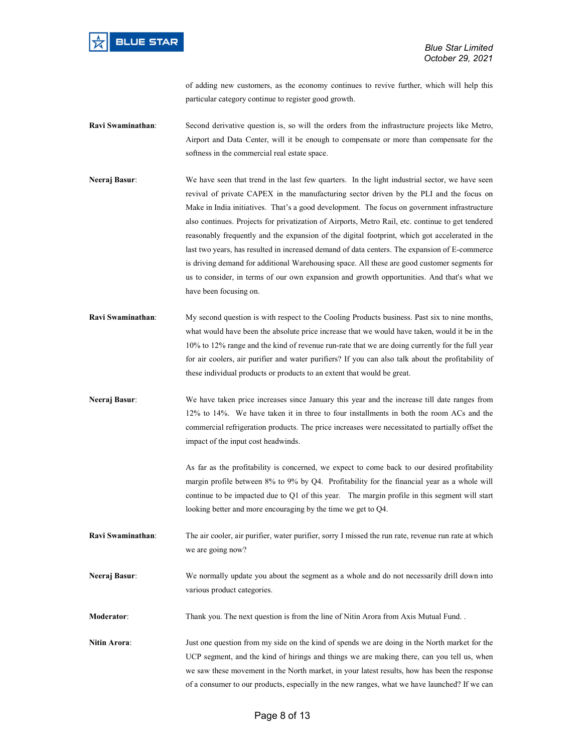of adding new customers, as the economy continues to revive further, which will help this particular category continue to register good growth.

- Ravi Swaminathan: Second derivative question is, so will the orders from the infrastructure projects like Metro, Airport and Data Center, will it be enough to compensate or more than compensate for the softness in the commercial real estate space.
- Neeraj Basur: We have seen that trend in the last few quarters. In the light industrial sector, we have seen revival of private CAPEX in the manufacturing sector driven by the PLI and the focus on Make in India initiatives. That's a good development. The focus on government infrastructure also continues. Projects for privatization of Airports, Metro Rail, etc. continue to get tendered reasonably frequently and the expansion of the digital footprint, which got accelerated in the last two years, has resulted in increased demand of data centers. The expansion of E-commerce is driving demand for additional Warehousing space. All these are good customer segments for us to consider, in terms of our own expansion and growth opportunities. And that's what we have been focusing on.
- Ravi Swaminathan: My second question is with respect to the Cooling Products business. Past six to nine months, what would have been the absolute price increase that we would have taken, would it be in the 10% to 12% range and the kind of revenue run-rate that we are doing currently for the full year for air coolers, air purifier and water purifiers? If you can also talk about the profitability of these individual products or products to an extent that would be great.
- Neeraj Basur: We have taken price increases since January this year and the increase till date ranges from 12% to 14%. We have taken it in three to four installments in both the room ACs and the commercial refrigeration products. The price increases were necessitated to partially offset the impact of the input cost headwinds.

As far as the profitability is concerned, we expect to come back to our desired profitability margin profile between 8% to 9% by Q4. Profitability for the financial year as a whole will continue to be impacted due to Q1 of this year. The margin profile in this segment will start looking better and more encouraging by the time we get to Q4.

- Ravi Swaminathan: The air cooler, air purifier, water purifier, sorry I missed the run rate, revenue run rate at which we are going now?
- Neeraj Basur: We normally update you about the segment as a whole and do not necessarily drill down into various product categories.

Moderator: Thank you. The next question is from the line of Nitin Arora from Axis Mutual Fund. .

Nitin Arora: Just one question from my side on the kind of spends we are doing in the North market for the UCP segment, and the kind of hirings and things we are making there, can you tell us, when we saw these movement in the North market, in your latest results, how has been the response of a consumer to our products, especially in the new ranges, what we have launched? If we can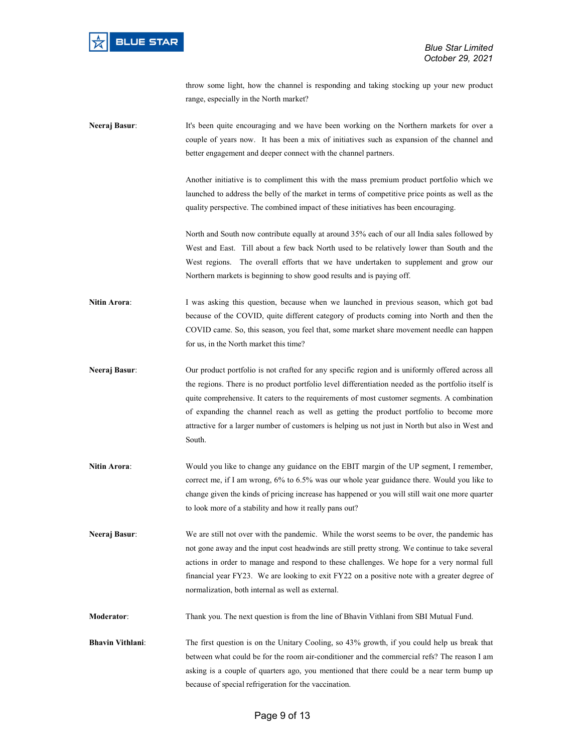throw some light, how the channel is responding and taking stocking up your new product range, especially in the North market?

Neeraj Basur: It's been quite encouraging and we have been working on the Northern markets for over a couple of years now. It has been a mix of initiatives such as expansion of the channel and better engagement and deeper connect with the channel partners.

> Another initiative is to compliment this with the mass premium product portfolio which we launched to address the belly of the market in terms of competitive price points as well as the quality perspective. The combined impact of these initiatives has been encouraging.

North and South now contribute equally at around 35% each of our all India sales followed by West and East. Till about a few back North used to be relatively lower than South and the West regions. The overall efforts that we have undertaken to supplement and grow our Northern markets is beginning to show good results and is paying off.

- Nitin Arora: I was asking this question, because when we launched in previous season, which got bad because of the COVID, quite different category of products coming into North and then the COVID came. So, this season, you feel that, some market share movement needle can happen for us, in the North market this time?
- Neeraj Basur: Our product portfolio is not crafted for any specific region and is uniformly offered across all the regions. There is no product portfolio level differentiation needed as the portfolio itself is quite comprehensive. It caters to the requirements of most customer segments. A combination of expanding the channel reach as well as getting the product portfolio to become more attractive for a larger number of customers is helping us not just in North but also in West and South.
- Nitin Arora: Would you like to change any guidance on the EBIT margin of the UP segment, I remember, correct me, if I am wrong, 6% to 6.5% was our whole year guidance there. Would you like to change given the kinds of pricing increase has happened or you will still wait one more quarter to look more of a stability and how it really pans out?
- Neeraj Basur: We are still not over with the pandemic. While the worst seems to be over, the pandemic has not gone away and the input cost headwinds are still pretty strong. We continue to take several actions in order to manage and respond to these challenges. We hope for a very normal full financial year FY23. We are looking to exit FY22 on a positive note with a greater degree of normalization, both internal as well as external.

Moderator: Thank you. The next question is from the line of Bhavin Vithlani from SBI Mutual Fund.

Bhavin Vithlani: The first question is on the Unitary Cooling, so 43% growth, if you could help us break that between what could be for the room air-conditioner and the commercial refs? The reason I am asking is a couple of quarters ago, you mentioned that there could be a near term bump up because of special refrigeration for the vaccination.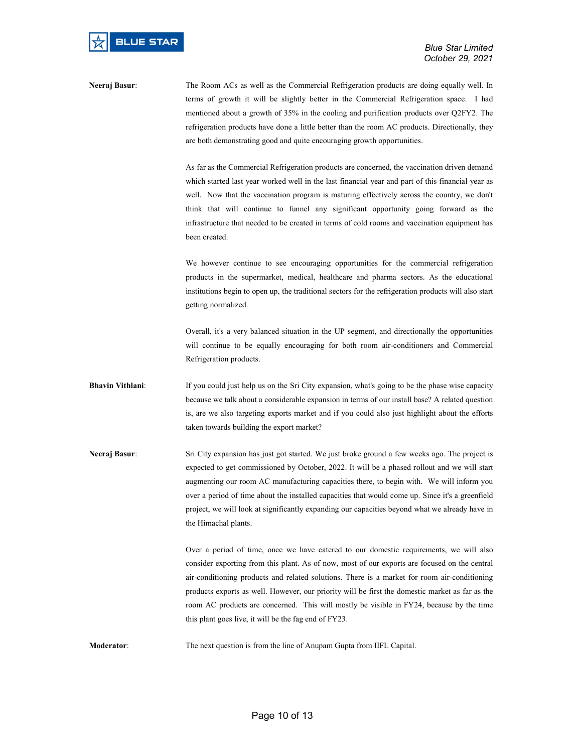Neeraj Basur: The Room ACs as well as the Commercial Refrigeration products are doing equally well. In terms of growth it will be slightly better in the Commercial Refrigeration space. I had mentioned about a growth of 35% in the cooling and purification products over Q2FY2. The refrigeration products have done a little better than the room AC products. Directionally, they are both demonstrating good and quite encouraging growth opportunities.

> As far as the Commercial Refrigeration products are concerned, the vaccination driven demand which started last year worked well in the last financial year and part of this financial year as well. Now that the vaccination program is maturing effectively across the country, we don't think that will continue to funnel any significant opportunity going forward as the infrastructure that needed to be created in terms of cold rooms and vaccination equipment has been created.

> We however continue to see encouraging opportunities for the commercial refrigeration products in the supermarket, medical, healthcare and pharma sectors. As the educational institutions begin to open up, the traditional sectors for the refrigeration products will also start getting normalized.

> Overall, it's a very balanced situation in the UP segment, and directionally the opportunities will continue to be equally encouraging for both room air-conditioners and Commercial Refrigeration products.

- **Bhavin Vithlani:** If you could just help us on the Sri City expansion, what's going to be the phase wise capacity because we talk about a considerable expansion in terms of our install base? A related question is, are we also targeting exports market and if you could also just highlight about the efforts taken towards building the export market?
- Neeraj Basur: Sri City expansion has just got started. We just broke ground a few weeks ago. The project is expected to get commissioned by October, 2022. It will be a phased rollout and we will start augmenting our room AC manufacturing capacities there, to begin with. We will inform you over a period of time about the installed capacities that would come up. Since it's a greenfield project, we will look at significantly expanding our capacities beyond what we already have in the Himachal plants.

Over a period of time, once we have catered to our domestic requirements, we will also consider exporting from this plant. As of now, most of our exports are focused on the central air-conditioning products and related solutions. There is a market for room air-conditioning products exports as well. However, our priority will be first the domestic market as far as the room AC products are concerned. This will mostly be visible in FY24, because by the time this plant goes live, it will be the fag end of FY23.

Moderator: The next question is from the line of Anupam Gupta from IIFL Capital.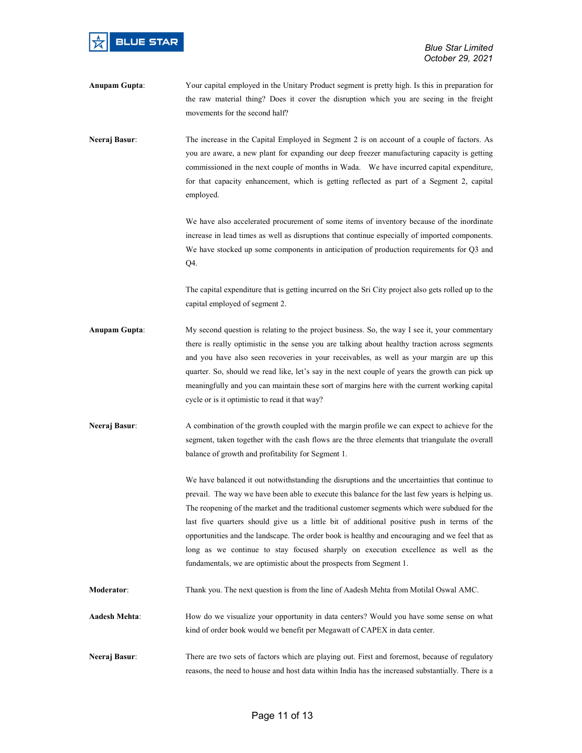

Anupam Gupta: Your capital employed in the Unitary Product segment is pretty high. Is this in preparation for the raw material thing? Does it cover the disruption which you are seeing in the freight movements for the second half?

Neeraj Basur: The increase in the Capital Employed in Segment 2 is on account of a couple of factors. As you are aware, a new plant for expanding our deep freezer manufacturing capacity is getting commissioned in the next couple of months in Wada. We have incurred capital expenditure, for that capacity enhancement, which is getting reflected as part of a Segment 2, capital employed.

> We have also accelerated procurement of some items of inventory because of the inordinate increase in lead times as well as disruptions that continue especially of imported components. We have stocked up some components in anticipation of production requirements for Q3 and Q4.

> The capital expenditure that is getting incurred on the Sri City project also gets rolled up to the capital employed of segment 2.

- Anupam Gupta: My second question is relating to the project business. So, the way I see it, your commentary there is really optimistic in the sense you are talking about healthy traction across segments and you have also seen recoveries in your receivables, as well as your margin are up this quarter. So, should we read like, let's say in the next couple of years the growth can pick up meaningfully and you can maintain these sort of margins here with the current working capital cycle or is it optimistic to read it that way?
- Neeraj Basur: A combination of the growth coupled with the margin profile we can expect to achieve for the segment, taken together with the cash flows are the three elements that triangulate the overall balance of growth and profitability for Segment 1.

We have balanced it out notwithstanding the disruptions and the uncertainties that continue to prevail. The way we have been able to execute this balance for the last few years is helping us. The reopening of the market and the traditional customer segments which were subdued for the last five quarters should give us a little bit of additional positive push in terms of the opportunities and the landscape. The order book is healthy and encouraging and we feel that as long as we continue to stay focused sharply on execution excellence as well as the fundamentals, we are optimistic about the prospects from Segment 1.

- Moderator: Thank you. The next question is from the line of Aadesh Mehta from Motilal Oswal AMC.
- Aadesh Mehta: How do we visualize your opportunity in data centers? Would you have some sense on what kind of order book would we benefit per Megawatt of CAPEX in data center.
- Neeraj Basur: There are two sets of factors which are playing out. First and foremost, because of regulatory reasons, the need to house and host data within India has the increased substantially. There is a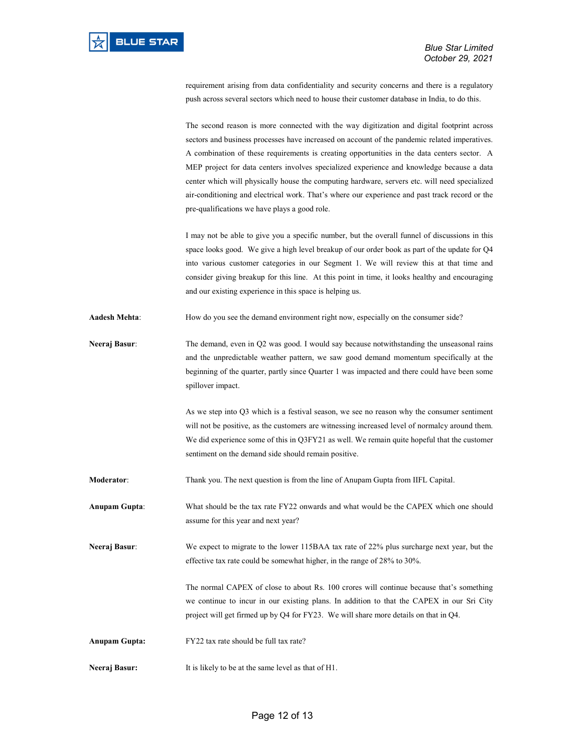requirement arising from data confidentiality and security concerns and there is a regulatory push across several sectors which need to house their customer database in India, to do this.

The second reason is more connected with the way digitization and digital footprint across sectors and business processes have increased on account of the pandemic related imperatives. A combination of these requirements is creating opportunities in the data centers sector. A MEP project for data centers involves specialized experience and knowledge because a data center which will physically house the computing hardware, servers etc. will need specialized air-conditioning and electrical work. That's where our experience and past track record or the pre-qualifications we have plays a good role.

I may not be able to give you a specific number, but the overall funnel of discussions in this space looks good. We give a high level breakup of our order book as part of the update for Q4 into various customer categories in our Segment 1. We will review this at that time and consider giving breakup for this line. At this point in time, it looks healthy and encouraging and our existing experience in this space is helping us.

Aadesh Mehta: How do you see the demand environment right now, especially on the consumer side?

Neeraj Basur: The demand, even in Q2 was good. I would say because notwithstanding the unseasonal rains and the unpredictable weather pattern, we saw good demand momentum specifically at the beginning of the quarter, partly since Quarter 1 was impacted and there could have been some spillover impact.

> As we step into Q3 which is a festival season, we see no reason why the consumer sentiment will not be positive, as the customers are witnessing increased level of normalcy around them. We did experience some of this in Q3FY21 as well. We remain quite hopeful that the customer sentiment on the demand side should remain positive.

Moderator: Thank you. The next question is from the line of Anupam Gupta from IIFL Capital.

Anupam Gupta: What should be the tax rate FY22 onwards and what would be the CAPEX which one should assume for this year and next year?

Neeraj Basur: We expect to migrate to the lower 115BAA tax rate of 22% plus surcharge next year, but the effective tax rate could be somewhat higher, in the range of 28% to 30%.

> The normal CAPEX of close to about Rs. 100 crores will continue because that's something we continue to incur in our existing plans. In addition to that the CAPEX in our Sri City project will get firmed up by Q4 for FY23. We will share more details on that in Q4.

Anupam Gupta: FY22 tax rate should be full tax rate?

Neeraj Basur: It is likely to be at the same level as that of H1.